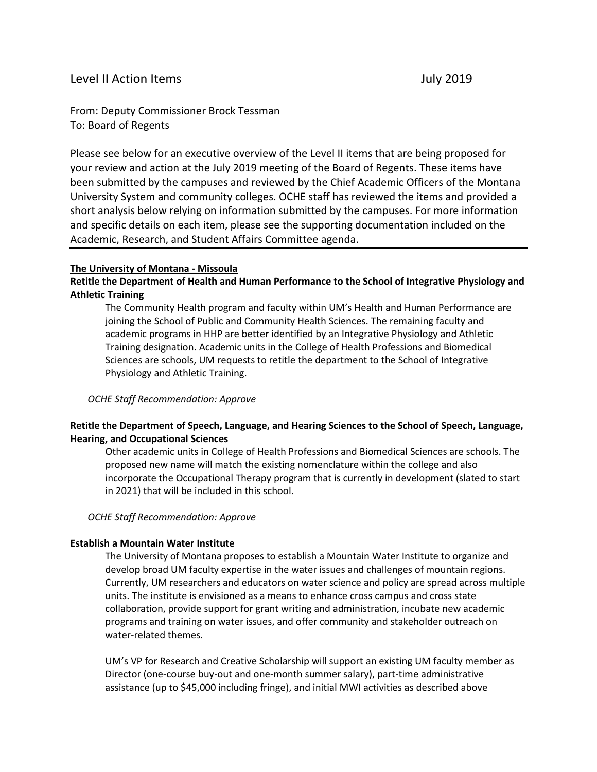# Level II Action Items **July 2019**

From: Deputy Commissioner Brock Tessman To: Board of Regents

Please see below for an executive overview of the Level II items that are being proposed for your review and action at the July 2019 meeting of the Board of Regents. These items have been submitted by the campuses and reviewed by the Chief Academic Officers of the Montana University System and community colleges. OCHE staff has reviewed the items and provided a short analysis below relying on information submitted by the campuses. For more information and specific details on each item, please see the supporting documentation included on the Academic, Research, and Student Affairs Committee agenda.

#### **The University of Montana - Missoula**

## **Retitle the Department of Health and Human Performance to the School of Integrative Physiology and Athletic Training**

The Community Health program and faculty within UM's Health and Human Performance are joining the School of Public and Community Health Sciences. The remaining faculty and academic programs in HHP are better identified by an Integrative Physiology and Athletic Training designation. Academic units in the College of Health Professions and Biomedical Sciences are schools, UM requests to retitle the department to the School of Integrative Physiology and Athletic Training.

#### *OCHE Staff Recommendation: Approve*

### **Retitle the Department of Speech, Language, and Hearing Sciences to the School of Speech, Language, Hearing, and Occupational Sciences**

Other academic units in College of Health Professions and Biomedical Sciences are schools. The proposed new name will match the existing nomenclature within the college and also incorporate the Occupational Therapy program that is currently in development (slated to start in 2021) that will be included in this school.

#### *OCHE Staff Recommendation: Approve*

#### **Establish a Mountain Water Institute**

The University of Montana proposes to establish a Mountain Water Institute to organize and develop broad UM faculty expertise in the water issues and challenges of mountain regions. Currently, UM researchers and educators on water science and policy are spread across multiple units. The institute is envisioned as a means to enhance cross campus and cross state collaboration, provide support for grant writing and administration, incubate new academic programs and training on water issues, and offer community and stakeholder outreach on water-related themes.

UM's VP for Research and Creative Scholarship will support an existing UM faculty member as Director (one-course buy-out and one-month summer salary), part-time administrative assistance (up to \$45,000 including fringe), and initial MWI activities as described above